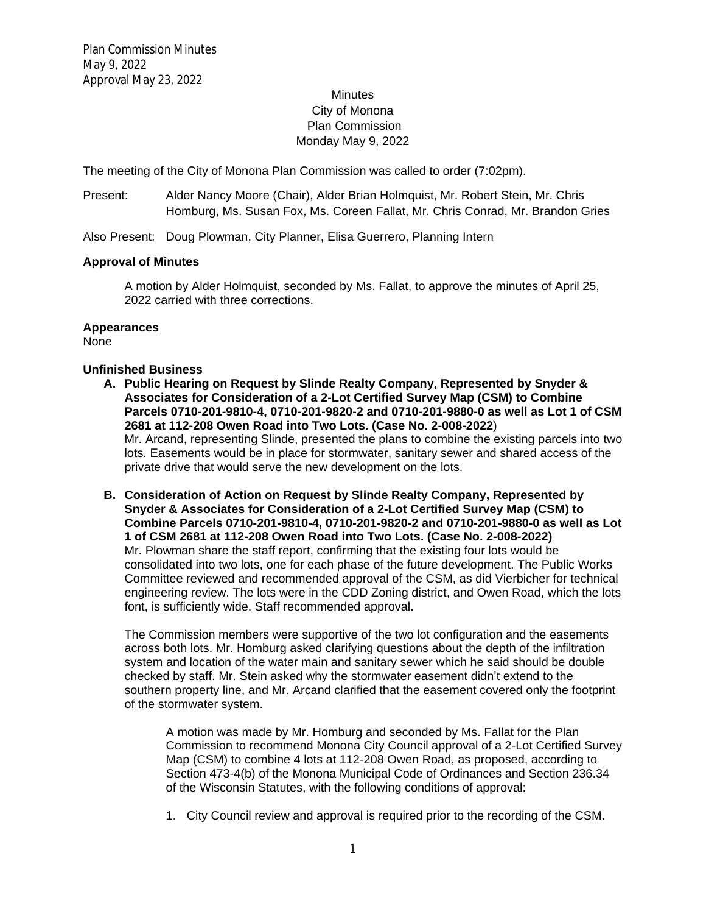# **Minutes** City of Monona Plan Commission Monday May 9, 2022

The meeting of the City of Monona Plan Commission was called to order (7:02pm).

Present: Alder Nancy Moore (Chair), Alder Brian Holmquist, Mr. Robert Stein, Mr. Chris Homburg, Ms. Susan Fox, Ms. Coreen Fallat, Mr. Chris Conrad, Mr. Brandon Gries

Also Present: Doug Plowman, City Planner, Elisa Guerrero, Planning Intern

### **Approval of Minutes**

A motion by Alder Holmquist, seconded by Ms. Fallat, to approve the minutes of April 25, 2022 carried with three corrections.

### **Appearances**

None

## **Unfinished Business**

- **A. Public Hearing on Request by Slinde Realty Company, Represented by Snyder & Associates for Consideration of a 2-Lot Certified Survey Map (CSM) to Combine Parcels 0710-201-9810-4, 0710-201-9820-2 and 0710-201-9880-0 as well as Lot 1 of CSM 2681 at 112-208 Owen Road into Two Lots. (Case No. 2-008-2022**) Mr. Arcand, representing Slinde, presented the plans to combine the existing parcels into two lots. Easements would be in place for stormwater, sanitary sewer and shared access of the private drive that would serve the new development on the lots.
- **B. Consideration of Action on Request by Slinde Realty Company, Represented by Snyder & Associates for Consideration of a 2-Lot Certified Survey Map (CSM) to Combine Parcels 0710-201-9810-4, 0710-201-9820-2 and 0710-201-9880-0 as well as Lot 1 of CSM 2681 at 112-208 Owen Road into Two Lots. (Case No. 2-008-2022)** Mr. Plowman share the staff report, confirming that the existing four lots would be consolidated into two lots, one for each phase of the future development. The Public Works Committee reviewed and recommended approval of the CSM, as did Vierbicher for technical engineering review. The lots were in the CDD Zoning district, and Owen Road, which the lots font, is sufficiently wide. Staff recommended approval.

The Commission members were supportive of the two lot configuration and the easements across both lots. Mr. Homburg asked clarifying questions about the depth of the infiltration system and location of the water main and sanitary sewer which he said should be double checked by staff. Mr. Stein asked why the stormwater easement didn't extend to the southern property line, and Mr. Arcand clarified that the easement covered only the footprint of the stormwater system.

A motion was made by Mr. Homburg and seconded by Ms. Fallat for the Plan Commission to recommend Monona City Council approval of a 2-Lot Certified Survey Map (CSM) to combine 4 lots at 112-208 Owen Road, as proposed, according to Section 473-4(b) of the Monona Municipal Code of Ordinances and Section 236.34 of the Wisconsin Statutes, with the following conditions of approval:

1. City Council review and approval is required prior to the recording of the CSM.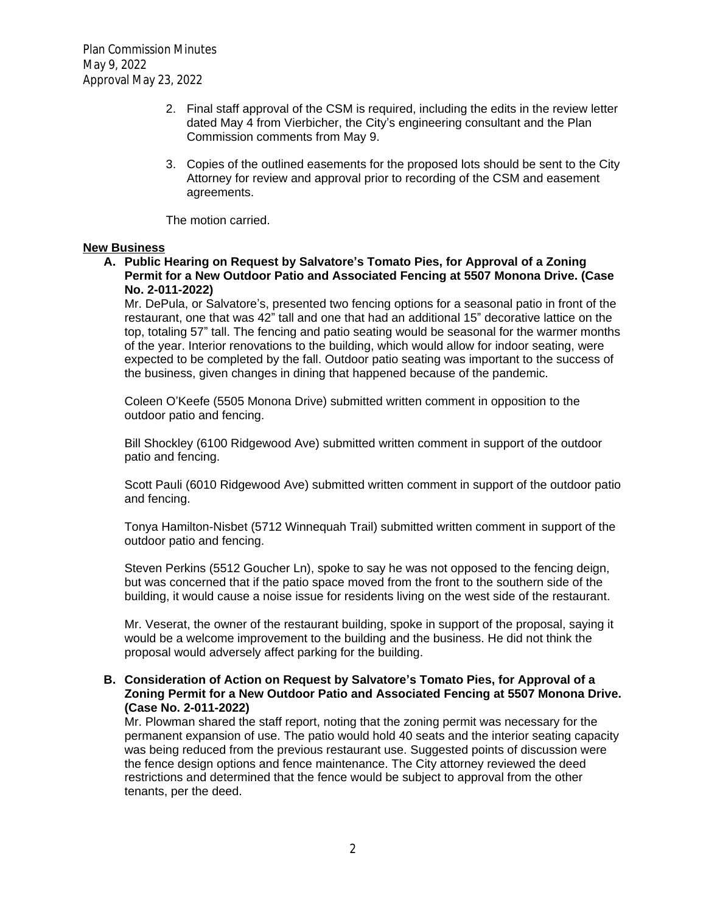- 2. Final staff approval of the CSM is required, including the edits in the review letter dated May 4 from Vierbicher, the City's engineering consultant and the Plan Commission comments from May 9.
- 3. Copies of the outlined easements for the proposed lots should be sent to the City Attorney for review and approval prior to recording of the CSM and easement agreements.

The motion carried.

### **New Business**

## **A. Public Hearing on Request by Salvatore's Tomato Pies, for Approval of a Zoning Permit for a New Outdoor Patio and Associated Fencing at 5507 Monona Drive. (Case No. 2-011-2022)**

Mr. DePula, or Salvatore's, presented two fencing options for a seasonal patio in front of the restaurant, one that was 42" tall and one that had an additional 15" decorative lattice on the top, totaling 57" tall. The fencing and patio seating would be seasonal for the warmer months of the year. Interior renovations to the building, which would allow for indoor seating, were expected to be completed by the fall. Outdoor patio seating was important to the success of the business, given changes in dining that happened because of the pandemic.

Coleen O'Keefe (5505 Monona Drive) submitted written comment in opposition to the outdoor patio and fencing.

Bill Shockley (6100 Ridgewood Ave) submitted written comment in support of the outdoor patio and fencing.

Scott Pauli (6010 Ridgewood Ave) submitted written comment in support of the outdoor patio and fencing.

Tonya Hamilton-Nisbet (5712 Winnequah Trail) submitted written comment in support of the outdoor patio and fencing.

Steven Perkins (5512 Goucher Ln), spoke to say he was not opposed to the fencing deign, but was concerned that if the patio space moved from the front to the southern side of the building, it would cause a noise issue for residents living on the west side of the restaurant.

Mr. Veserat, the owner of the restaurant building, spoke in support of the proposal, saying it would be a welcome improvement to the building and the business. He did not think the proposal would adversely affect parking for the building.

### **B. Consideration of Action on Request by Salvatore's Tomato Pies, for Approval of a Zoning Permit for a New Outdoor Patio and Associated Fencing at 5507 Monona Drive. (Case No. 2-011-2022)**

Mr. Plowman shared the staff report, noting that the zoning permit was necessary for the permanent expansion of use. The patio would hold 40 seats and the interior seating capacity was being reduced from the previous restaurant use. Suggested points of discussion were the fence design options and fence maintenance. The City attorney reviewed the deed restrictions and determined that the fence would be subject to approval from the other tenants, per the deed.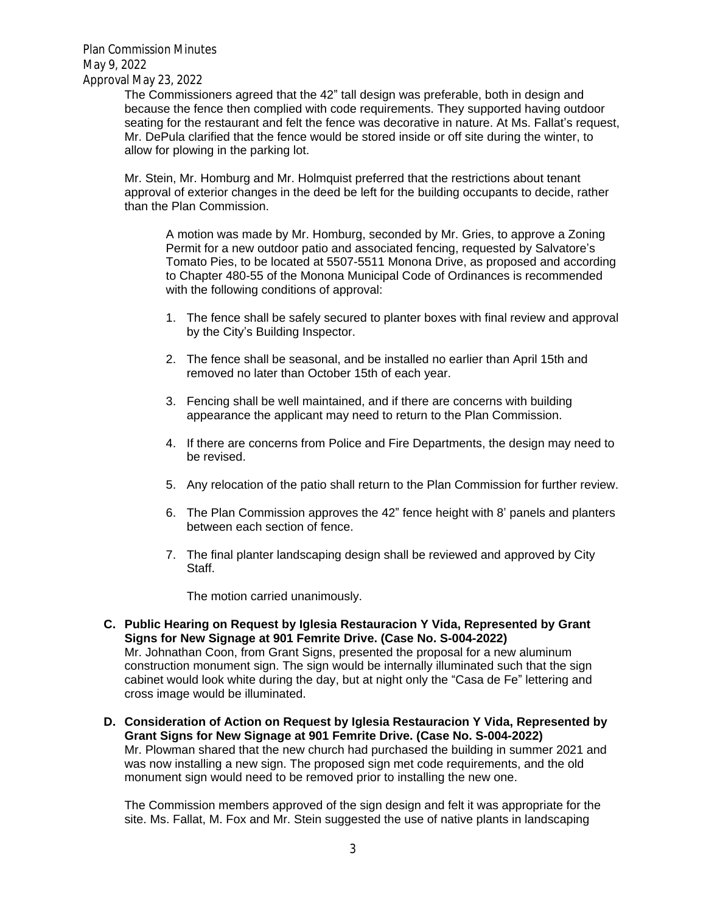Plan Commission Minutes May 9, 2022 Approval May 23, 2022

The Commissioners agreed that the 42" tall design was preferable, both in design and because the fence then complied with code requirements. They supported having outdoor seating for the restaurant and felt the fence was decorative in nature. At Ms. Fallat's request, Mr. DePula clarified that the fence would be stored inside or off site during the winter, to allow for plowing in the parking lot.

Mr. Stein, Mr. Homburg and Mr. Holmquist preferred that the restrictions about tenant approval of exterior changes in the deed be left for the building occupants to decide, rather than the Plan Commission.

A motion was made by Mr. Homburg, seconded by Mr. Gries, to approve a Zoning Permit for a new outdoor patio and associated fencing, requested by Salvatore's Tomato Pies, to be located at 5507-5511 Monona Drive, as proposed and according to Chapter 480-55 of the Monona Municipal Code of Ordinances is recommended with the following conditions of approval:

- 1. The fence shall be safely secured to planter boxes with final review and approval by the City's Building Inspector.
- 2. The fence shall be seasonal, and be installed no earlier than April 15th and removed no later than October 15th of each year.
- 3. Fencing shall be well maintained, and if there are concerns with building appearance the applicant may need to return to the Plan Commission.
- 4. If there are concerns from Police and Fire Departments, the design may need to be revised.
- 5. Any relocation of the patio shall return to the Plan Commission for further review.
- 6. The Plan Commission approves the 42" fence height with 8' panels and planters between each section of fence.
- 7. The final planter landscaping design shall be reviewed and approved by City Staff.

The motion carried unanimously.

- **C. Public Hearing on Request by Iglesia Restauracion Y Vida, Represented by Grant Signs for New Signage at 901 Femrite Drive. (Case No. S-004-2022)** Mr. Johnathan Coon, from Grant Signs, presented the proposal for a new aluminum construction monument sign. The sign would be internally illuminated such that the sign cabinet would look white during the day, but at night only the "Casa de Fe" lettering and cross image would be illuminated.
- **D. Consideration of Action on Request by Iglesia Restauracion Y Vida, Represented by Grant Signs for New Signage at 901 Femrite Drive. (Case No. S-004-2022)** Mr. Plowman shared that the new church had purchased the building in summer 2021 and was now installing a new sign. The proposed sign met code requirements, and the old monument sign would need to be removed prior to installing the new one.

The Commission members approved of the sign design and felt it was appropriate for the site. Ms. Fallat, M. Fox and Mr. Stein suggested the use of native plants in landscaping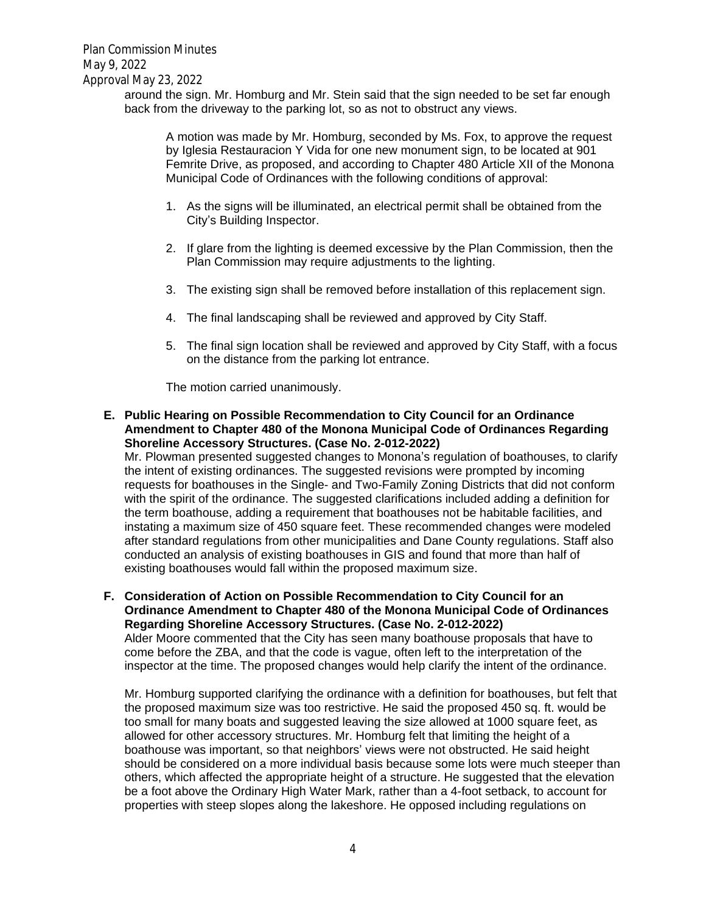around the sign. Mr. Homburg and Mr. Stein said that the sign needed to be set far enough back from the driveway to the parking lot, so as not to obstruct any views.

A motion was made by Mr. Homburg, seconded by Ms. Fox, to approve the request by Iglesia Restauracion Y Vida for one new monument sign, to be located at 901 Femrite Drive, as proposed, and according to Chapter 480 Article XII of the Monona Municipal Code of Ordinances with the following conditions of approval:

- 1. As the signs will be illuminated, an electrical permit shall be obtained from the City's Building Inspector.
- 2. If glare from the lighting is deemed excessive by the Plan Commission, then the Plan Commission may require adjustments to the lighting.
- 3. The existing sign shall be removed before installation of this replacement sign.
- 4. The final landscaping shall be reviewed and approved by City Staff.
- 5. The final sign location shall be reviewed and approved by City Staff, with a focus on the distance from the parking lot entrance.

The motion carried unanimously.

**E. Public Hearing on Possible Recommendation to City Council for an Ordinance Amendment to Chapter 480 of the Monona Municipal Code of Ordinances Regarding Shoreline Accessory Structures. (Case No. 2-012-2022)**

Mr. Plowman presented suggested changes to Monona's regulation of boathouses, to clarify the intent of existing ordinances. The suggested revisions were prompted by incoming requests for boathouses in the Single- and Two-Family Zoning Districts that did not conform with the spirit of the ordinance. The suggested clarifications included adding a definition for the term boathouse, adding a requirement that boathouses not be habitable facilities, and instating a maximum size of 450 square feet. These recommended changes were modeled after standard regulations from other municipalities and Dane County regulations. Staff also conducted an analysis of existing boathouses in GIS and found that more than half of existing boathouses would fall within the proposed maximum size.

**F. Consideration of Action on Possible Recommendation to City Council for an Ordinance Amendment to Chapter 480 of the Monona Municipal Code of Ordinances Regarding Shoreline Accessory Structures. (Case No. 2-012-2022)** Alder Moore commented that the City has seen many boathouse proposals that have to come before the ZBA, and that the code is vague, often left to the interpretation of the

inspector at the time. The proposed changes would help clarify the intent of the ordinance. Mr. Homburg supported clarifying the ordinance with a definition for boathouses, but felt that the proposed maximum size was too restrictive. He said the proposed 450 sq. ft. would be too small for many boats and suggested leaving the size allowed at 1000 square feet, as allowed for other accessory structures. Mr. Homburg felt that limiting the height of a boathouse was important, so that neighbors' views were not obstructed. He said height

should be considered on a more individual basis because some lots were much steeper than others, which affected the appropriate height of a structure. He suggested that the elevation be a foot above the Ordinary High Water Mark, rather than a 4-foot setback, to account for properties with steep slopes along the lakeshore. He opposed including regulations on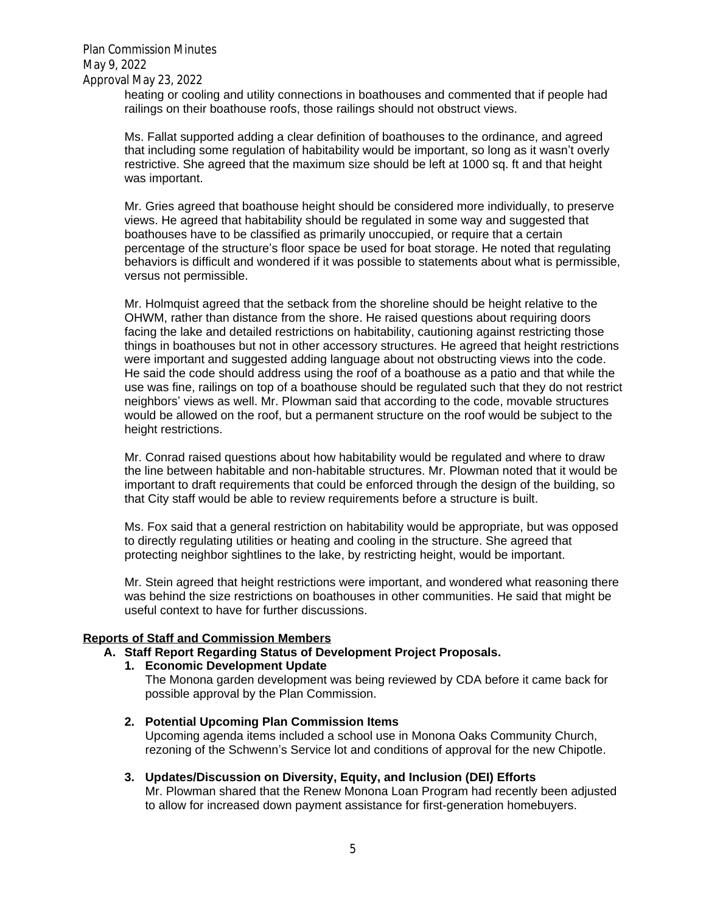heating or cooling and utility connections in boathouses and commented that if people had railings on their boathouse roofs, those railings should not obstruct views.

Ms. Fallat supported adding a clear definition of boathouses to the ordinance, and agreed that including some regulation of habitability would be important, so long as it wasn't overly restrictive. She agreed that the maximum size should be left at 1000 sq. ft and that height was important.

Mr. Gries agreed that boathouse height should be considered more individually, to preserve views. He agreed that habitability should be regulated in some way and suggested that boathouses have to be classified as primarily unoccupied, or require that a certain percentage of the structure's floor space be used for boat storage. He noted that regulating behaviors is difficult and wondered if it was possible to statements about what is permissible, versus not permissible.

Mr. Holmquist agreed that the setback from the shoreline should be height relative to the OHWM, rather than distance from the shore. He raised questions about requiring doors facing the lake and detailed restrictions on habitability, cautioning against restricting those things in boathouses but not in other accessory structures. He agreed that height restrictions were important and suggested adding language about not obstructing views into the code. He said the code should address using the roof of a boathouse as a patio and that while the use was fine, railings on top of a boathouse should be regulated such that they do not restrict neighbors' views as well. Mr. Plowman said that according to the code, movable structures would be allowed on the roof, but a permanent structure on the roof would be subject to the height restrictions.

Mr. Conrad raised questions about how habitability would be regulated and where to draw the line between habitable and non-habitable structures. Mr. Plowman noted that it would be important to draft requirements that could be enforced through the design of the building, so that City staff would be able to review requirements before a structure is built.

Ms. Fox said that a general restriction on habitability would be appropriate, but was opposed to directly regulating utilities or heating and cooling in the structure. She agreed that protecting neighbor sightlines to the lake, by restricting height, would be important.

Mr. Stein agreed that height restrictions were important, and wondered what reasoning there was behind the size restrictions on boathouses in other communities. He said that might be useful context to have for further discussions.

#### **Reports of Staff and Commission Members**

### **A. Staff Report Regarding Status of Development Project Proposals.**

- **1. Economic Development Update**
	- The Monona garden development was being reviewed by CDA before it came back for possible approval by the Plan Commission.
- **2. Potential Upcoming Plan Commission Items** Upcoming agenda items included a school use in Monona Oaks Community Church, rezoning of the Schwenn's Service lot and conditions of approval for the new Chipotle.
- **3. Updates/Discussion on Diversity, Equity, and Inclusion (DEI) Efforts** Mr. Plowman shared that the Renew Monona Loan Program had recently been adjusted to allow for increased down payment assistance for first-generation homebuyers.